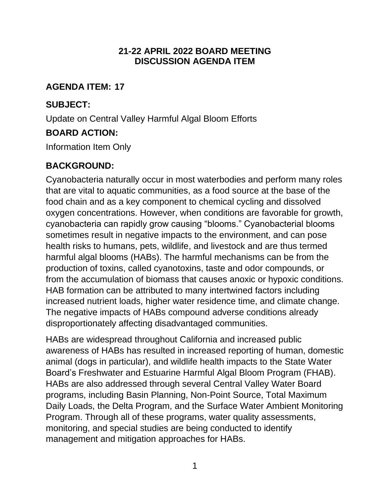### **21-22 APRIL 2022 BOARD MEETING DISCUSSION AGENDA ITEM**

### **AGENDA ITEM: 17**

# **SUBJECT:**

Update on Central Valley Harmful Algal Bloom Efforts

## **BOARD ACTION:**

Information Item Only

# **BACKGROUND:**

Cyanobacteria naturally occur in most waterbodies and perform many roles that are vital to aquatic communities, as a food source at the base of the food chain and as a key component to chemical cycling and dissolved oxygen concentrations. However, when conditions are favorable for growth, cyanobacteria can rapidly grow causing "blooms." Cyanobacterial blooms sometimes result in negative impacts to the environment, and can pose health risks to humans, pets, wildlife, and livestock and are thus termed harmful algal blooms (HABs). The harmful mechanisms can be from the production of toxins, called cyanotoxins, taste and odor compounds, or from the accumulation of biomass that causes anoxic or hypoxic conditions. HAB formation can be attributed to many intertwined factors including increased nutrient loads, higher water residence time, and climate change. The negative impacts of HABs compound adverse conditions already disproportionately affecting disadvantaged communities.

HABs are widespread throughout California and increased public awareness of HABs has resulted in increased reporting of human, domestic animal (dogs in particular), and wildlife health impacts to the State Water Board's Freshwater and Estuarine Harmful Algal Bloom Program (FHAB). HABs are also addressed through several Central Valley Water Board programs, including Basin Planning, Non-Point Source, Total Maximum Daily Loads, the Delta Program, and the Surface Water Ambient Monitoring Program. Through all of these programs, water quality assessments, monitoring, and special studies are being conducted to identify management and mitigation approaches for HABs.